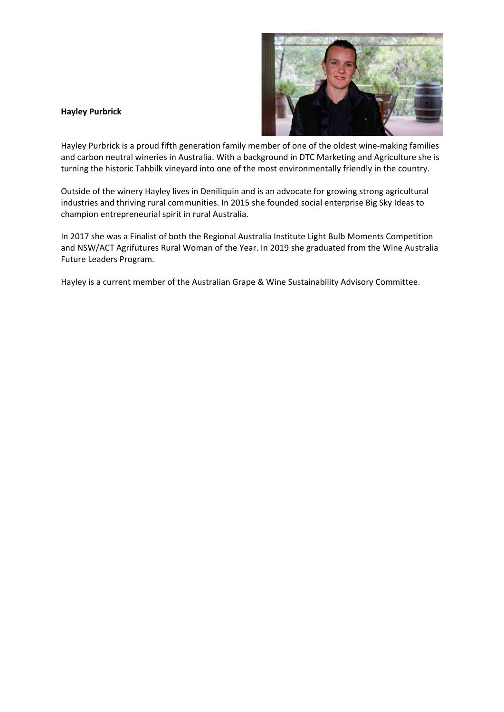## **Hayley Purbrick**



Hayley Purbrick is a proud fifth generation family member of one of the oldest wine-making families and carbon neutral wineries in Australia. With a background in DTC Marketing and Agriculture she is turning the historic Tahbilk vineyard into one of the most environmentally friendly in the country.

Outside of the winery Hayley lives in Deniliquin and is an advocate for growing strong agricultural industries and thriving rural communities. In 2015 she founded social enterprise Big Sky Ideas to champion entrepreneurial spirit in rural Australia.

In 2017 she was a Finalist of both the Regional Australia Institute Light Bulb Moments Competition and NSW/ACT Agrifutures Rural Woman of the Year. In 2019 she graduated from the Wine Australia Future Leaders Program.

Hayley is a current member of the Australian Grape & Wine Sustainability Advisory Committee.